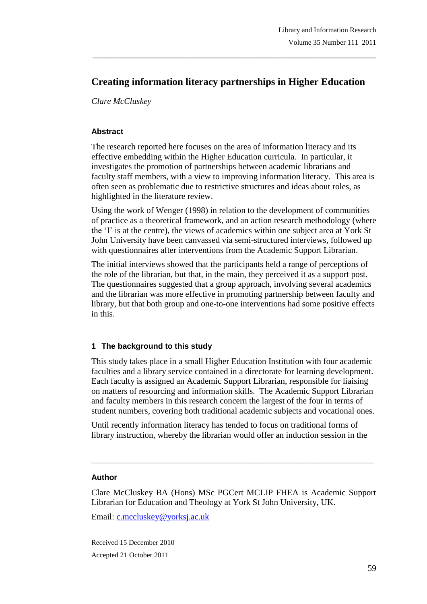# **Creating information literacy partnerships in Higher Education**

\_\_\_\_\_\_\_\_\_\_\_\_\_\_\_\_\_\_\_\_\_\_\_\_\_\_\_\_\_\_\_\_\_\_\_\_\_\_\_\_\_\_\_\_\_\_\_\_\_\_\_\_\_\_\_\_\_\_\_\_\_\_\_\_\_\_\_\_\_\_\_\_\_\_\_\_\_\_\_

*Clare McCluskey*

#### **Abstract**

The research reported here focuses on the area of information literacy and its effective embedding within the Higher Education curricula. In particular, it investigates the promotion of partnerships between academic librarians and faculty staff members, with a view to improving information literacy. This area is often seen as problematic due to restrictive structures and ideas about roles, as highlighted in the literature review.

Using the work of Wenger (1998) in relation to the development of communities of practice as a theoretical framework, and an action research methodology (where the "I" is at the centre), the views of academics within one subject area at York St John University have been canvassed via semi-structured interviews, followed up with questionnaires after interventions from the Academic Support Librarian.

The initial interviews showed that the participants held a range of perceptions of the role of the librarian, but that, in the main, they perceived it as a support post. The questionnaires suggested that a group approach, involving several academics and the librarian was more effective in promoting partnership between faculty and library, but that both group and one-to-one interventions had some positive effects in this.

## **1 The background to this study**

This study takes place in a small Higher Education Institution with four academic faculties and a library service contained in a directorate for learning development. Each faculty is assigned an Academic Support Librarian, responsible for liaising on matters of resourcing and information skills. The Academic Support Librarian and faculty members in this research concern the largest of the four in terms of student numbers, covering both traditional academic subjects and vocational ones.

Until recently information literacy has tended to focus on traditional forms of library instruction, whereby the librarian would offer an induction session in the

**\_\_\_\_\_\_\_\_\_\_\_\_\_\_\_\_\_\_\_\_\_\_\_\_\_\_\_\_\_\_\_\_\_\_\_\_\_\_\_\_\_\_\_\_\_\_\_\_\_\_\_\_\_\_\_\_\_\_\_\_\_\_\_\_\_\_\_\_\_\_\_**

#### **Author**

Clare McCluskey BA (Hons) MSc PGCert MCLIP FHEA is Academic Support Librarian for Education and Theology at York St John University, UK.

Email: c.mccluskey@yorksj.ac.uk

Received 15 December 2010 Accepted 21 October 2011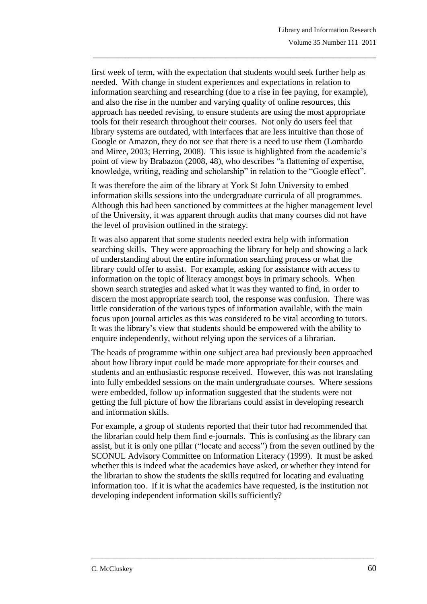first week of term, with the expectation that students would seek further help as needed. With change in student experiences and expectations in relation to information searching and researching (due to a rise in fee paying, for example), and also the rise in the number and varying quality of online resources, this approach has needed revising, to ensure students are using the most appropriate tools for their research throughout their courses. Not only do users feel that library systems are outdated, with interfaces that are less intuitive than those of Google or Amazon, they do not see that there is a need to use them (Lombardo and Miree, 2003; Herring, 2008). This issue is highlighted from the academic"s point of view by Brabazon (2008, 48), who describes "a flattening of expertise, knowledge, writing, reading and scholarship" in relation to the "Google effect".

\_\_\_\_\_\_\_\_\_\_\_\_\_\_\_\_\_\_\_\_\_\_\_\_\_\_\_\_\_\_\_\_\_\_\_\_\_\_\_\_\_\_\_\_\_\_\_\_\_\_\_\_\_\_\_\_\_\_\_\_\_\_\_\_\_\_\_\_\_\_\_\_\_\_\_\_\_\_\_

It was therefore the aim of the library at York St John University to embed information skills sessions into the undergraduate curricula of all programmes. Although this had been sanctioned by committees at the higher management level of the University, it was apparent through audits that many courses did not have the level of provision outlined in the strategy.

It was also apparent that some students needed extra help with information searching skills. They were approaching the library for help and showing a lack of understanding about the entire information searching process or what the library could offer to assist. For example, asking for assistance with access to information on the topic of literacy amongst boys in primary schools. When shown search strategies and asked what it was they wanted to find, in order to discern the most appropriate search tool, the response was confusion. There was little consideration of the various types of information available, with the main focus upon journal articles as this was considered to be vital according to tutors. It was the library"s view that students should be empowered with the ability to enquire independently, without relying upon the services of a librarian.

The heads of programme within one subject area had previously been approached about how library input could be made more appropriate for their courses and students and an enthusiastic response received. However, this was not translating into fully embedded sessions on the main undergraduate courses. Where sessions were embedded, follow up information suggested that the students were not getting the full picture of how the librarians could assist in developing research and information skills.

For example, a group of students reported that their tutor had recommended that the librarian could help them find e-journals. This is confusing as the library can assist, but it is only one pillar ("locate and access") from the seven outlined by the SCONUL Advisory Committee on Information Literacy (1999). It must be asked whether this is indeed what the academics have asked, or whether they intend for the librarian to show the students the skills required for locating and evaluating information too. If it is what the academics have requested, is the institution not developing independent information skills sufficiently?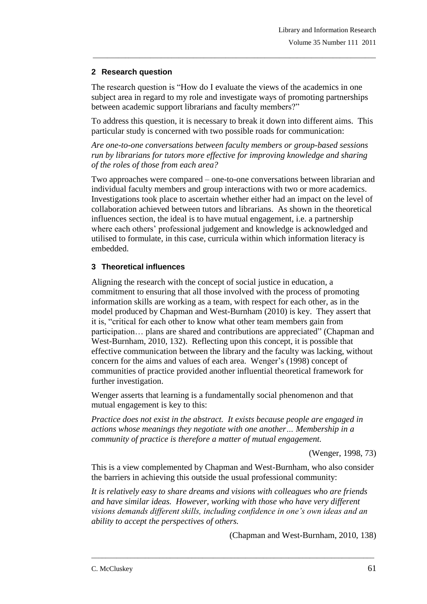## **2 Research question**

The research question is "How do I evaluate the views of the academics in one subject area in regard to my role and investigate ways of promoting partnerships between academic support librarians and faculty members?"

\_\_\_\_\_\_\_\_\_\_\_\_\_\_\_\_\_\_\_\_\_\_\_\_\_\_\_\_\_\_\_\_\_\_\_\_\_\_\_\_\_\_\_\_\_\_\_\_\_\_\_\_\_\_\_\_\_\_\_\_\_\_\_\_\_\_\_\_\_\_\_\_\_\_\_\_\_\_\_

To address this question, it is necessary to break it down into different aims. This particular study is concerned with two possible roads for communication:

*Are one-to-one conversations between faculty members or group-based sessions run by librarians for tutors more effective for improving knowledge and sharing of the roles of those from each area?*

Two approaches were compared – one-to-one conversations between librarian and individual faculty members and group interactions with two or more academics. Investigations took place to ascertain whether either had an impact on the level of collaboration achieved between tutors and librarians. As shown in the theoretical influences section, the ideal is to have mutual engagement, i.e. a partnership where each others" professional judgement and knowledge is acknowledged and utilised to formulate, in this case, curricula within which information literacy is embedded.

## **3 Theoretical influences**

Aligning the research with the concept of social justice in education, a commitment to ensuring that all those involved with the process of promoting information skills are working as a team, with respect for each other, as in the model produced by Chapman and West-Burnham (2010) is key. They assert that it is, "critical for each other to know what other team members gain from participation… plans are shared and contributions are appreciated" (Chapman and West-Burnham, 2010, 132). Reflecting upon this concept, it is possible that effective communication between the library and the faculty was lacking, without concern for the aims and values of each area. Wenger"s (1998) concept of communities of practice provided another influential theoretical framework for further investigation.

Wenger asserts that learning is a fundamentally social phenomenon and that mutual engagement is key to this:

*Practice does not exist in the abstract. It exists because people are engaged in actions whose meanings they negotiate with one another… Membership in a community of practice is therefore a matter of mutual engagement.*

(Wenger, 1998, 73)

This is a view complemented by Chapman and West-Burnham, who also consider the barriers in achieving this outside the usual professional community:

*It is relatively easy to share dreams and visions with colleagues who are friends and have similar ideas. However, working with those who have very different visions demands different skills, including confidence in one's own ideas and an ability to accept the perspectives of others.*

\_\_\_\_\_\_\_\_\_\_\_\_\_\_\_\_\_\_\_\_\_\_\_\_\_\_\_\_\_\_\_\_\_\_\_\_\_\_\_\_\_\_\_\_\_\_\_\_\_\_\_\_\_\_\_\_\_\_\_\_\_\_\_\_\_\_\_\_\_\_\_\_\_\_\_\_\_\_\_

(Chapman and West-Burnham, 2010, 138)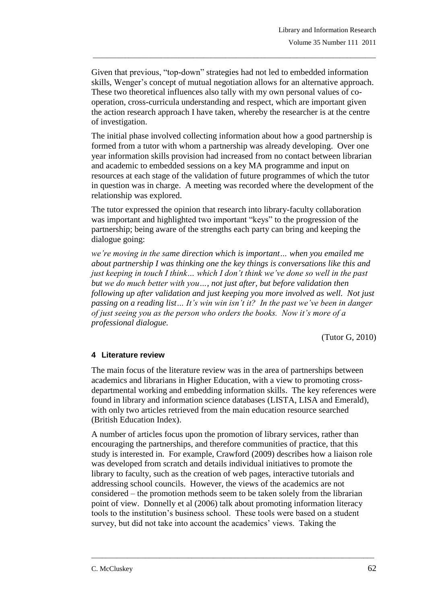Given that previous, "top-down" strategies had not led to embedded information skills, Wenger's concept of mutual negotiation allows for an alternative approach. These two theoretical influences also tally with my own personal values of cooperation, cross-curricula understanding and respect, which are important given the action research approach I have taken, whereby the researcher is at the centre of investigation.

\_\_\_\_\_\_\_\_\_\_\_\_\_\_\_\_\_\_\_\_\_\_\_\_\_\_\_\_\_\_\_\_\_\_\_\_\_\_\_\_\_\_\_\_\_\_\_\_\_\_\_\_\_\_\_\_\_\_\_\_\_\_\_\_\_\_\_\_\_\_\_\_\_\_\_\_\_\_\_

The initial phase involved collecting information about how a good partnership is formed from a tutor with whom a partnership was already developing. Over one year information skills provision had increased from no contact between librarian and academic to embedded sessions on a key MA programme and input on resources at each stage of the validation of future programmes of which the tutor in question was in charge. A meeting was recorded where the development of the relationship was explored.

The tutor expressed the opinion that research into library-faculty collaboration was important and highlighted two important "keys" to the progression of the partnership; being aware of the strengths each party can bring and keeping the dialogue going:

*we're moving in the same direction which is important… when you emailed me about partnership I was thinking one the key things is conversations like this and just keeping in touch I think… which I don't think we've done so well in the past but we do much better with you…, not just after, but before validation then following up after validation and just keeping you more involved as well. Not just passing on a reading list… It's win win isn't it? In the past we've been in danger of just seeing you as the person who orders the books. Now it's more of a professional dialogue.*

(Tutor G, 2010)

## **4 Literature review**

The main focus of the literature review was in the area of partnerships between academics and librarians in Higher Education, with a view to promoting crossdepartmental working and embedding information skills. The key references were found in library and information science databases (LISTA, LISA and Emerald), with only two articles retrieved from the main education resource searched (British Education Index).

A number of articles focus upon the promotion of library services, rather than encouraging the partnerships, and therefore communities of practice, that this study is interested in. For example, Crawford (2009) describes how a liaison role was developed from scratch and details individual initiatives to promote the library to faculty, such as the creation of web pages, interactive tutorials and addressing school councils. However, the views of the academics are not considered – the promotion methods seem to be taken solely from the librarian point of view. Donnelly et al (2006) talk about promoting information literacy tools to the institution"s business school. These tools were based on a student survey, but did not take into account the academics' views. Taking the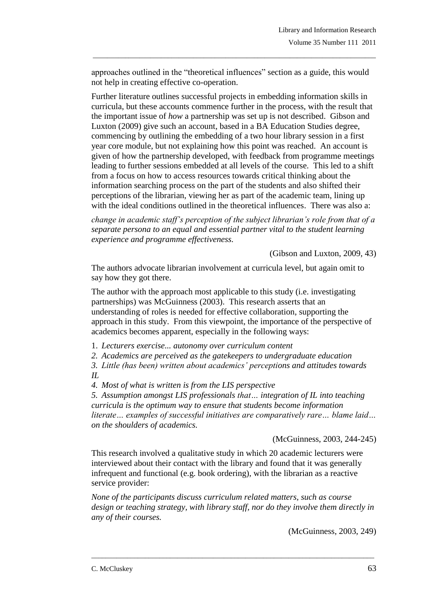approaches outlined in the "theoretical influences" section as a guide, this would not help in creating effective co-operation.

\_\_\_\_\_\_\_\_\_\_\_\_\_\_\_\_\_\_\_\_\_\_\_\_\_\_\_\_\_\_\_\_\_\_\_\_\_\_\_\_\_\_\_\_\_\_\_\_\_\_\_\_\_\_\_\_\_\_\_\_\_\_\_\_\_\_\_\_\_\_\_\_\_\_\_\_\_\_\_

Further literature outlines successful projects in embedding information skills in curricula, but these accounts commence further in the process, with the result that the important issue of *how* a partnership was set up is not described. Gibson and Luxton (2009) give such an account, based in a BA Education Studies degree, commencing by outlining the embedding of a two hour library session in a first year core module, but not explaining how this point was reached. An account is given of how the partnership developed, with feedback from programme meetings leading to further sessions embedded at all levels of the course. This led to a shift from a focus on how to access resources towards critical thinking about the information searching process on the part of the students and also shifted their perceptions of the librarian, viewing her as part of the academic team, lining up with the ideal conditions outlined in the theoretical influences. There was also a:

*change in academic staff's perception of the subject librarian's role from that of a separate persona to an equal and essential partner vital to the student learning experience and programme effectiveness.*

(Gibson and Luxton, 2009, 43)

The authors advocate librarian involvement at curricula level, but again omit to say how they got there.

The author with the approach most applicable to this study (i.e. investigating partnerships) was McGuinness (2003). This research asserts that an understanding of roles is needed for effective collaboration, supporting the approach in this study. From this viewpoint, the importance of the perspective of academics becomes apparent, especially in the following ways:

1. *Lecturers exercise... autonomy over curriculum content*

*2. Academics are perceived as the gatekeepers to undergraduate education*

*3. Little (has been) written about academics' perceptions and attitudes towards IL*

*4. Most of what is written is from the LIS perspective*

*5. Assumption amongst LIS professionals that… integration of IL into teaching curricula is the optimum way to ensure that students become information literate… examples of successful initiatives are comparatively rare… blame laid… on the shoulders of academics.*

(McGuinness, 2003, 244-245)

This research involved a qualitative study in which 20 academic lecturers were interviewed about their contact with the library and found that it was generally infrequent and functional (e.g. book ordering), with the librarian as a reactive service provider:

*None of the participants discuss curriculum related matters, such as course design or teaching strategy, with library staff, nor do they involve them directly in any of their courses.*

\_\_\_\_\_\_\_\_\_\_\_\_\_\_\_\_\_\_\_\_\_\_\_\_\_\_\_\_\_\_\_\_\_\_\_\_\_\_\_\_\_\_\_\_\_\_\_\_\_\_\_\_\_\_\_\_\_\_\_\_\_\_\_\_\_\_\_\_\_\_\_\_\_\_\_\_\_\_\_

(McGuinness, 2003, 249)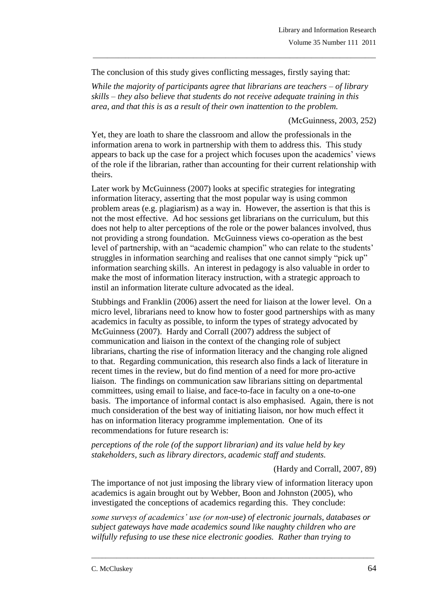The conclusion of this study gives conflicting messages, firstly saying that:

*While the majority of participants agree that librarians are teachers – of library skills – they also believe that students do not receive adequate training in this area, and that this is as a result of their own inattention to the problem.*

\_\_\_\_\_\_\_\_\_\_\_\_\_\_\_\_\_\_\_\_\_\_\_\_\_\_\_\_\_\_\_\_\_\_\_\_\_\_\_\_\_\_\_\_\_\_\_\_\_\_\_\_\_\_\_\_\_\_\_\_\_\_\_\_\_\_\_\_\_\_\_\_\_\_\_\_\_\_\_

## (McGuinness, 2003, 252)

Yet, they are loath to share the classroom and allow the professionals in the information arena to work in partnership with them to address this. This study appears to back up the case for a project which focuses upon the academics" views of the role if the librarian, rather than accounting for their current relationship with theirs.

Later work by McGuinness (2007) looks at specific strategies for integrating information literacy, asserting that the most popular way is using common problem areas (e.g. plagiarism) as a way in. However, the assertion is that this is not the most effective. Ad hoc sessions get librarians on the curriculum, but this does not help to alter perceptions of the role or the power balances involved, thus not providing a strong foundation. McGuinness views co-operation as the best level of partnership, with an "academic champion" who can relate to the students' struggles in information searching and realises that one cannot simply "pick up" information searching skills. An interest in pedagogy is also valuable in order to make the most of information literacy instruction, with a strategic approach to instil an information literate culture advocated as the ideal.

Stubbings and Franklin (2006) assert the need for liaison at the lower level. On a micro level, librarians need to know how to foster good partnerships with as many academics in faculty as possible, to inform the types of strategy advocated by McGuinness (2007). Hardy and Corrall (2007) address the subject of communication and liaison in the context of the changing role of subject librarians, charting the rise of information literacy and the changing role aligned to that. Regarding communication, this research also finds a lack of literature in recent times in the review, but do find mention of a need for more pro-active liaison. The findings on communication saw librarians sitting on departmental committees, using email to liaise, and face-to-face in faculty on a one-to-one basis. The importance of informal contact is also emphasised. Again, there is not much consideration of the best way of initiating liaison, nor how much effect it has on information literacy programme implementation. One of its recommendations for future research is:

*perceptions of the role (of the support librarian) and its value held by key stakeholders, such as library directors, academic staff and students.*

(Hardy and Corrall, 2007, 89)

The importance of not just imposing the library view of information literacy upon academics is again brought out by Webber, Boon and Johnston (2005), who investigated the conceptions of academics regarding this. They conclude:

*some surveys of academics' use (or non-use) of electronic journals, databases or subject gateways have made academics sound like naughty children who are wilfully refusing to use these nice electronic goodies. Rather than trying to*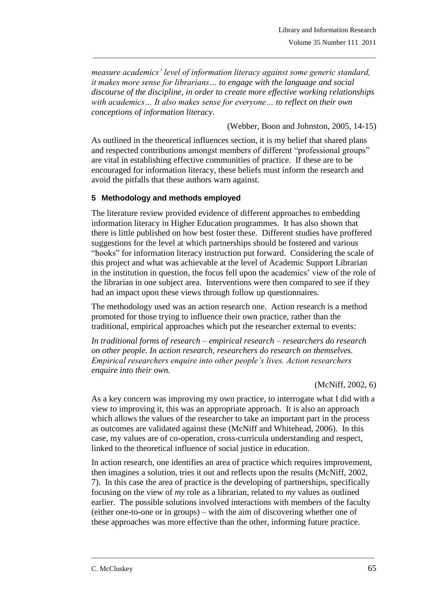*measure academics' level of information literacy against some generic standard, it makes more sense for librarians… to engage with the language and social discourse of the discipline, in order to create more effective working relationships with academics… It also makes sense for everyone… to reflect on their own conceptions of information literacy.*

\_\_\_\_\_\_\_\_\_\_\_\_\_\_\_\_\_\_\_\_\_\_\_\_\_\_\_\_\_\_\_\_\_\_\_\_\_\_\_\_\_\_\_\_\_\_\_\_\_\_\_\_\_\_\_\_\_\_\_\_\_\_\_\_\_\_\_\_\_\_\_\_\_\_\_\_\_\_\_

(Webber, Boon and Johnston, 2005, 14-15)

As outlined in the theoretical influences section, it is my belief that shared plans and respected contributions amongst members of different "professional groups" are vital in establishing effective communities of practice. If these are to be encouraged for information literacy, these beliefs must inform the research and avoid the pitfalls that these authors warn against.

## **5 Methodology and methods employed**

The literature review provided evidence of different approaches to embedding information literacy in Higher Education programmes. It has also shown that there is little published on how best foster these. Different studies have proffered suggestions for the level at which partnerships should be fostered and various "hooks" for information literacy instruction put forward. Considering the scale of this project and what was achievable at the level of Academic Support Librarian in the institution in question, the focus fell upon the academics" view of the role of the librarian in one subject area. Interventions were then compared to see if they had an impact upon these views through follow up questionnaires.

The methodology used was an action research one. Action research is a method promoted for those trying to influence their own practice, rather than the traditional, empirical approaches which put the researcher external to events:

*In traditional forms of research – empirical research – researchers do research on other people. In action research, researchers do research on themselves. Empirical researchers enquire into other people's lives. Action researchers enquire into their own.*

(McNiff, 2002, 6)

As a key concern was improving my own practice, to interrogate what I did with a view to improving it, this was an appropriate approach. It is also an approach which allows the values of the researcher to take an important part in the process as outcomes are validated against these (McNiff and Whitehead, 2006). In this case, my values are of co-operation, cross-curricula understanding and respect, linked to the theoretical influence of social justice in education.

In action research, one identifies an area of practice which requires improvement, then imagines a solution, tries it out and reflects upon the results (McNiff, 2002, 7). In this case the area of practice is the developing of partnerships, specifically focusing on the view of *my* role as a librarian, related to *my* values as outlined earlier. The possible solutions involved interactions with members of the faculty (either one-to-one or in groups) – with the aim of discovering whether one of these approaches was more effective than the other, informing future practice.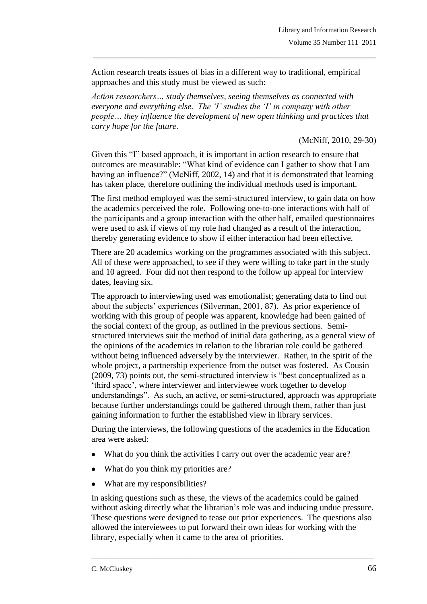Action research treats issues of bias in a different way to traditional, empirical approaches and this study must be viewed as such:

\_\_\_\_\_\_\_\_\_\_\_\_\_\_\_\_\_\_\_\_\_\_\_\_\_\_\_\_\_\_\_\_\_\_\_\_\_\_\_\_\_\_\_\_\_\_\_\_\_\_\_\_\_\_\_\_\_\_\_\_\_\_\_\_\_\_\_\_\_\_\_\_\_\_\_\_\_\_\_

*Action researchers… study themselves, seeing themselves as connected with everyone and everything else. The 'I' studies the 'I' in company with other people… they influence the development of new open thinking and practices that carry hope for the future.*

(McNiff, 2010, 29-30)

Given this "I" based approach, it is important in action research to ensure that outcomes are measurable: "What kind of evidence can I gather to show that I am having an influence?" (McNiff, 2002, 14) and that it is demonstrated that learning has taken place, therefore outlining the individual methods used is important.

The first method employed was the semi-structured interview, to gain data on how the academics perceived the role. Following one-to-one interactions with half of the participants and a group interaction with the other half, emailed questionnaires were used to ask if views of my role had changed as a result of the interaction, thereby generating evidence to show if either interaction had been effective.

There are 20 academics working on the programmes associated with this subject. All of these were approached, to see if they were willing to take part in the study and 10 agreed. Four did not then respond to the follow up appeal for interview dates, leaving six.

The approach to interviewing used was emotionalist; generating data to find out about the subjects" experiences (Silverman, 2001, 87). As prior experience of working with this group of people was apparent, knowledge had been gained of the social context of the group, as outlined in the previous sections. Semistructured interviews suit the method of initial data gathering, as a general view of the opinions of the academics in relation to the librarian role could be gathered without being influenced adversely by the interviewer. Rather, in the spirit of the whole project, a partnership experience from the outset was fostered. As Cousin (2009, 73) points out, the semi-structured interview is "best conceptualized as a "third space", where interviewer and interviewee work together to develop understandings". As such, an active, or semi-structured, approach was appropriate because further understandings could be gathered through them, rather than just gaining information to further the established view in library services.

During the interviews, the following questions of the academics in the Education area were asked:

- What do you think the activities I carry out over the academic year are?
- What do you think my priorities are?
- What are my responsibilities?

In asking questions such as these, the views of the academics could be gained without asking directly what the librarian's role was and inducing undue pressure. These questions were designed to tease out prior experiences. The questions also allowed the interviewees to put forward their own ideas for working with the library, especially when it came to the area of priorities.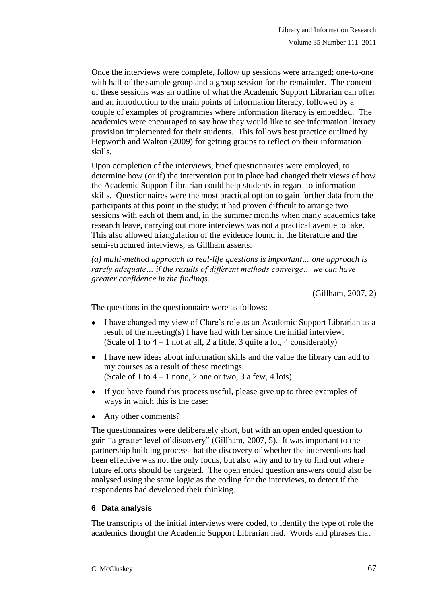Once the interviews were complete, follow up sessions were arranged; one-to-one with half of the sample group and a group session for the remainder. The content of these sessions was an outline of what the Academic Support Librarian can offer and an introduction to the main points of information literacy, followed by a couple of examples of programmes where information literacy is embedded. The academics were encouraged to say how they would like to see information literacy provision implemented for their students. This follows best practice outlined by Hepworth and Walton (2009) for getting groups to reflect on their information skills.

\_\_\_\_\_\_\_\_\_\_\_\_\_\_\_\_\_\_\_\_\_\_\_\_\_\_\_\_\_\_\_\_\_\_\_\_\_\_\_\_\_\_\_\_\_\_\_\_\_\_\_\_\_\_\_\_\_\_\_\_\_\_\_\_\_\_\_\_\_\_\_\_\_\_\_\_\_\_\_

Upon completion of the interviews, brief questionnaires were employed, to determine how (or if) the intervention put in place had changed their views of how the Academic Support Librarian could help students in regard to information skills. Questionnaires were the most practical option to gain further data from the participants at this point in the study; it had proven difficult to arrange two sessions with each of them and, in the summer months when many academics take research leave, carrying out more interviews was not a practical avenue to take. This also allowed triangulation of the evidence found in the literature and the semi-structured interviews, as Gillham asserts:

*(a) multi-method approach to real-life questions is important… one approach is rarely adequate… if the results of different methods converge… we can have greater confidence in the findings.*

(Gillham, 2007, 2)

The questions in the questionnaire were as follows:

- I have changed my view of Clare's role as an Academic Support Librarian as a result of the meeting(s) I have had with her since the initial interview. (Scale of 1 to  $4 - 1$  not at all, 2 a little, 3 quite a lot, 4 considerably)
- I have new ideas about information skills and the value the library can add to my courses as a result of these meetings. (Scale of 1 to  $4 - 1$  none, 2 one or two, 3 a few, 4 lots)
- If you have found this process useful, please give up to three examples of ways in which this is the case:
- Any other comments?

The questionnaires were deliberately short, but with an open ended question to gain "a greater level of discovery" (Gillham, 2007, 5). It was important to the partnership building process that the discovery of whether the interventions had been effective was not the only focus, but also why and to try to find out where future efforts should be targeted. The open ended question answers could also be analysed using the same logic as the coding for the interviews, to detect if the respondents had developed their thinking.

## **6 Data analysis**

The transcripts of the initial interviews were coded, to identify the type of role the academics thought the Academic Support Librarian had. Words and phrases that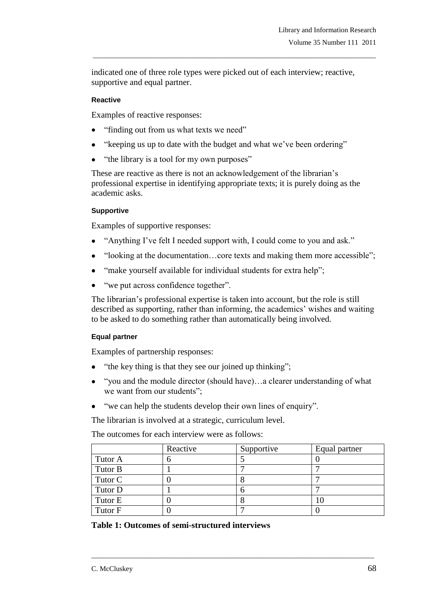indicated one of three role types were picked out of each interview; reactive, supportive and equal partner.

\_\_\_\_\_\_\_\_\_\_\_\_\_\_\_\_\_\_\_\_\_\_\_\_\_\_\_\_\_\_\_\_\_\_\_\_\_\_\_\_\_\_\_\_\_\_\_\_\_\_\_\_\_\_\_\_\_\_\_\_\_\_\_\_\_\_\_\_\_\_\_\_\_\_\_\_\_\_\_

#### **Reactive**

Examples of reactive responses:

- "finding out from us what texts we need"  $\bullet$
- "keeping us up to date with the budget and what we've been ordering"
- "the library is a tool for my own purposes"

These are reactive as there is not an acknowledgement of the librarian's professional expertise in identifying appropriate texts; it is purely doing as the academic asks.

#### **Supportive**

Examples of supportive responses:

- "Anything I've felt I needed support with, I could come to you and ask."  $\bullet$
- "looking at the documentation…core texts and making them more accessible";
- "make yourself available for individual students for extra help";
- "we put across confidence together".

The librarian"s professional expertise is taken into account, but the role is still described as supporting, rather than informing, the academics' wishes and waiting to be asked to do something rather than automatically being involved.

## **Equal partner**

Examples of partnership responses:

- "the key thing is that they see our joined up thinking";
- "you and the module director (should have)…a clearer understanding of what we want from our students";
- "we can help the students develop their own lines of enquiry".

The librarian is involved at a strategic, curriculum level.

The outcomes for each interview were as follows:

|         | Reactive | Supportive | Equal partner |
|---------|----------|------------|---------------|
| Tutor A |          |            |               |
| Tutor B |          |            |               |
| Tutor C |          |            |               |
| Tutor D |          |            |               |
| Tutor E |          |            | 1C            |
| Tutor F |          |            |               |

\_\_\_\_\_\_\_\_\_\_\_\_\_\_\_\_\_\_\_\_\_\_\_\_\_\_\_\_\_\_\_\_\_\_\_\_\_\_\_\_\_\_\_\_\_\_\_\_\_\_\_\_\_\_\_\_\_\_\_\_\_\_\_\_\_\_\_\_\_\_\_\_\_\_\_\_\_\_\_

**Table 1: Outcomes of semi-structured interviews**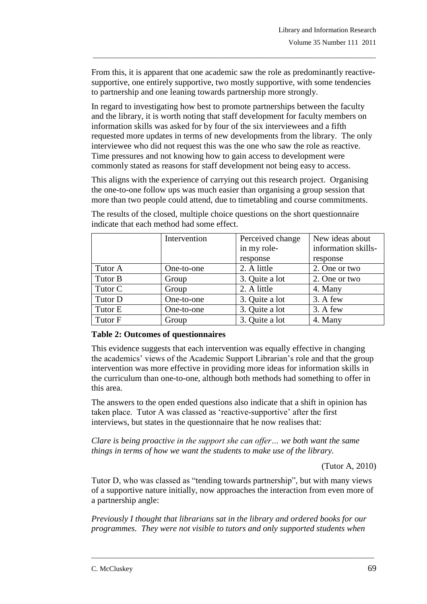From this, it is apparent that one academic saw the role as predominantly reactivesupportive, one entirely supportive, two mostly supportive, with some tendencies to partnership and one leaning towards partnership more strongly.

\_\_\_\_\_\_\_\_\_\_\_\_\_\_\_\_\_\_\_\_\_\_\_\_\_\_\_\_\_\_\_\_\_\_\_\_\_\_\_\_\_\_\_\_\_\_\_\_\_\_\_\_\_\_\_\_\_\_\_\_\_\_\_\_\_\_\_\_\_\_\_\_\_\_\_\_\_\_\_

In regard to investigating how best to promote partnerships between the faculty and the library, it is worth noting that staff development for faculty members on information skills was asked for by four of the six interviewees and a fifth requested more updates in terms of new developments from the library. The only interviewee who did not request this was the one who saw the role as reactive. Time pressures and not knowing how to gain access to development were commonly stated as reasons for staff development not being easy to access.

This aligns with the experience of carrying out this research project. Organising the one-to-one follow ups was much easier than organising a group session that more than two people could attend, due to timetabling and course commitments.

|         | Intervention | Perceived change | New ideas about     |
|---------|--------------|------------------|---------------------|
|         |              | in my role-      | information skills- |
|         |              | response         | response            |
| Tutor A | One-to-one   | 2. A little      | 2. One or two       |
| Tutor B | Group        | 3. Quite a lot   | 2. One or two       |
| Tutor C | Group        | 2. A little      | 4. Many             |
| Tutor D | One-to-one   | 3. Quite a lot   | 3. A few            |
| Tutor E | One-to-one   | 3. Quite a lot   | 3. A few            |
| Tutor F | Group        | 3. Quite a lot   | 4. Many             |

The results of the closed, multiple choice questions on the short questionnaire indicate that each method had some effect.

## **Table 2: Outcomes of questionnaires**

This evidence suggests that each intervention was equally effective in changing the academics' views of the Academic Support Librarian's role and that the group intervention was more effective in providing more ideas for information skills in the curriculum than one-to-one, although both methods had something to offer in this area.

The answers to the open ended questions also indicate that a shift in opinion has taken place. Tutor A was classed as 'reactive-supportive' after the first interviews, but states in the questionnaire that he now realises that:

*Clare is being proactive in the support she can offer… we both want the same things in terms of how we want the students to make use of the library.*

(Tutor A, 2010)

Tutor D, who was classed as "tending towards partnership", but with many views of a supportive nature initially, now approaches the interaction from even more of a partnership angle:

*Previously I thought that librarians sat in the library and ordered books for our programmes. They were not visible to tutors and only supported students when*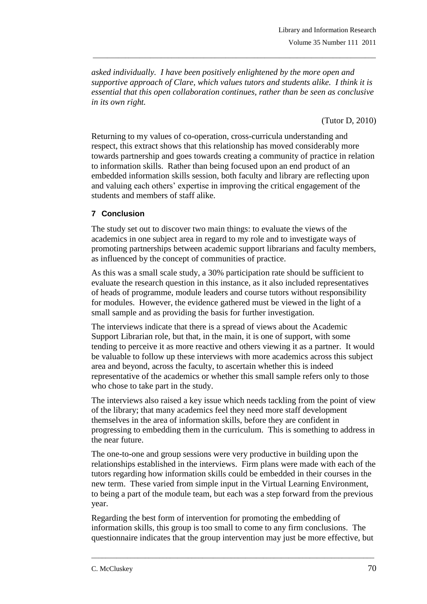*asked individually. I have been positively enlightened by the more open and supportive approach of Clare, which values tutors and students alike. I think it is essential that this open collaboration continues, rather than be seen as conclusive in its own right.*

\_\_\_\_\_\_\_\_\_\_\_\_\_\_\_\_\_\_\_\_\_\_\_\_\_\_\_\_\_\_\_\_\_\_\_\_\_\_\_\_\_\_\_\_\_\_\_\_\_\_\_\_\_\_\_\_\_\_\_\_\_\_\_\_\_\_\_\_\_\_\_\_\_\_\_\_\_\_\_

(Tutor D, 2010)

Returning to my values of co-operation, cross-curricula understanding and respect, this extract shows that this relationship has moved considerably more towards partnership and goes towards creating a community of practice in relation to information skills. Rather than being focused upon an end product of an embedded information skills session, both faculty and library are reflecting upon and valuing each others" expertise in improving the critical engagement of the students and members of staff alike.

## **7 Conclusion**

The study set out to discover two main things: to evaluate the views of the academics in one subject area in regard to my role and to investigate ways of promoting partnerships between academic support librarians and faculty members, as influenced by the concept of communities of practice.

As this was a small scale study, a 30% participation rate should be sufficient to evaluate the research question in this instance, as it also included representatives of heads of programme, module leaders and course tutors without responsibility for modules. However, the evidence gathered must be viewed in the light of a small sample and as providing the basis for further investigation.

The interviews indicate that there is a spread of views about the Academic Support Librarian role, but that, in the main, it is one of support, with some tending to perceive it as more reactive and others viewing it as a partner. It would be valuable to follow up these interviews with more academics across this subject area and beyond, across the faculty, to ascertain whether this is indeed representative of the academics or whether this small sample refers only to those who chose to take part in the study.

The interviews also raised a key issue which needs tackling from the point of view of the library; that many academics feel they need more staff development themselves in the area of information skills, before they are confident in progressing to embedding them in the curriculum. This is something to address in the near future.

The one-to-one and group sessions were very productive in building upon the relationships established in the interviews. Firm plans were made with each of the tutors regarding how information skills could be embedded in their courses in the new term. These varied from simple input in the Virtual Learning Environment, to being a part of the module team, but each was a step forward from the previous year.

Regarding the best form of intervention for promoting the embedding of information skills, this group is too small to come to any firm conclusions. The questionnaire indicates that the group intervention may just be more effective, but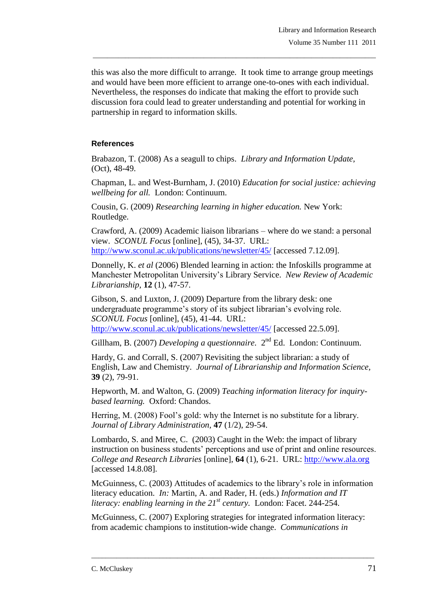this was also the more difficult to arrange. It took time to arrange group meetings and would have been more efficient to arrange one-to-ones with each individual. Nevertheless, the responses do indicate that making the effort to provide such discussion fora could lead to greater understanding and potential for working in partnership in regard to information skills.

\_\_\_\_\_\_\_\_\_\_\_\_\_\_\_\_\_\_\_\_\_\_\_\_\_\_\_\_\_\_\_\_\_\_\_\_\_\_\_\_\_\_\_\_\_\_\_\_\_\_\_\_\_\_\_\_\_\_\_\_\_\_\_\_\_\_\_\_\_\_\_\_\_\_\_\_\_\_\_

# **References**

Brabazon, T. (2008) As a seagull to chips. *Library and Information Update,* (Oct), 48-49.

Chapman, L. and West-Burnham, J. (2010) *Education for social justice: achieving wellbeing for all.* London: Continuum.

Cousin, G. (2009) *Researching learning in higher education.* New York: Routledge.

Crawford, A. (2009) Academic liaison librarians – where do we stand: a personal view. *SCONUL Focus* [online], (45), 34-37. URL: <http://www.sconul.ac.uk/publications/newsletter/45/> [accessed 7.12.09].

Donnelly, K. *et al* (2006) Blended learning in action: the Infoskills programme at Manchester Metropolitan University"s Library Service. *New Review of Academic Librarianship,* **12** (1), 47-57.

Gibson, S. and Luxton, J. (2009) Departure from the library desk: one undergraduate programme's story of its subject librarian's evolving role. *SCONUL Focus* [online], (45), 41-44. URL: <http://www.sconul.ac.uk/publications/newsletter/45/> [accessed 22.5.09].

Gillham, B. (2007) *Developing a questionnaire*. 2<sup>nd</sup> Ed. London: Continuum.

Hardy, G. and Corrall, S. (2007) Revisiting the subject librarian: a study of English, Law and Chemistry. *Journal of Librarianship and Information Science,* **39** (2), 79-91.

Hepworth, M. and Walton, G. (2009) *Teaching information literacy for inquirybased learning.* Oxford: Chandos.

Herring, M. (2008) Fool's gold: why the Internet is no substitute for a library. *Journal of Library Administration,* **47** (1/2), 29-54.

Lombardo, S. and Miree, C. (2003) Caught in the Web: the impact of library instruction on business students" perceptions and use of print and online resources. *College and Research Libraries* [online], **64** (1), 6-21. URL: [http://www.ala.org](http://www.ala.org/) [accessed 14.8.08].

McGuinness, C. (2003) Attitudes of academics to the library"s role in information literacy education. *In:* Martin, A. and Rader, H. (eds.) *Information and IT literacy: enabling learning in the 21st century.* London: Facet. 244-254.

McGuinness, C. (2007) Exploring strategies for integrated information literacy: from academic champions to institution-wide change.*Communications in*